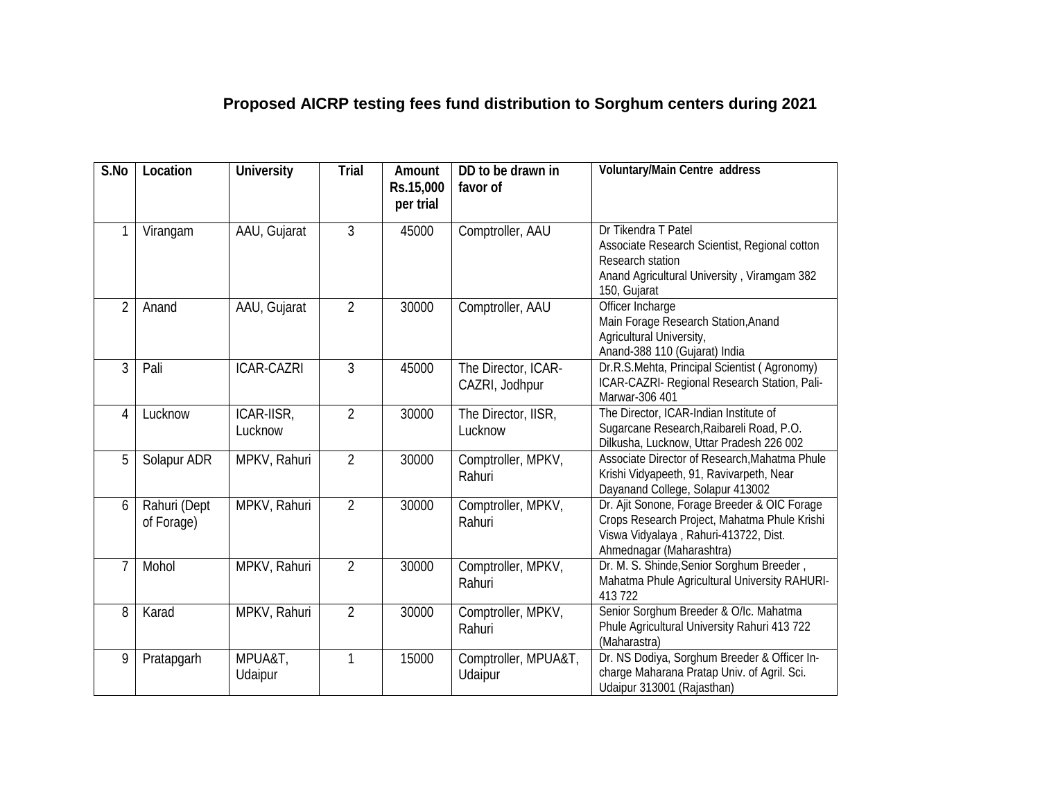## **Proposed AICRP testing fees fund distribution to Sorghum centers during 2021**

| S.No           | Location                   | <b>University</b>     | <b>Trial</b>   | Amount<br>Rs.15,000<br>per trial | DD to be drawn in<br>favor of         | Voluntary/Main Centre address                                                                                                                                     |
|----------------|----------------------------|-----------------------|----------------|----------------------------------|---------------------------------------|-------------------------------------------------------------------------------------------------------------------------------------------------------------------|
| 1              | Virangam                   | AAU, Gujarat          | 3              | 45000                            | Comptroller, AAU                      | Dr Tikendra T Patel<br>Associate Research Scientist, Regional cotton<br>Research station<br>Anand Agricultural University, Viramgam 382<br>150, Gujarat           |
| $\overline{2}$ | Anand                      | AAU, Gujarat          | $\overline{2}$ | 30000                            | Comptroller, AAU                      | Officer Incharge<br>Main Forage Research Station, Anand<br>Agricultural University,<br>Anand-388 110 (Gujarat) India                                              |
| 3              | Pali                       | <b>ICAR-CAZRI</b>     | 3              | 45000                            | The Director, ICAR-<br>CAZRI, Jodhpur | Dr.R.S.Mehta, Principal Scientist (Agronomy)<br>ICAR-CAZRI- Regional Research Station, Pali-<br>Marwar-306 401                                                    |
| 4              | Lucknow                    | ICAR-IISR,<br>Lucknow | $\overline{2}$ | 30000                            | The Director, IISR,<br>Lucknow        | The Director, ICAR-Indian Institute of<br>Sugarcane Research, Raibareli Road, P.O.<br>Dilkusha, Lucknow, Uttar Pradesh 226 002                                    |
| 5              | Solapur ADR                | MPKV, Rahuri          | $\overline{2}$ | 30000                            | Comptroller, MPKV,<br>Rahuri          | Associate Director of Research, Mahatma Phule<br>Krishi Vidyapeeth, 91, Ravivarpeth, Near<br>Dayanand College, Solapur 413002                                     |
| 6              | Rahuri (Dept<br>of Forage) | MPKV, Rahuri          | $\overline{2}$ | 30000                            | Comptroller, MPKV,<br>Rahuri          | Dr. Ajit Sonone, Forage Breeder & OIC Forage<br>Crops Research Project, Mahatma Phule Krishi<br>Viswa Vidyalaya, Rahuri-413722, Dist.<br>Ahmednagar (Maharashtra) |
| 7              | Mohol                      | MPKV, Rahuri          | $\overline{2}$ | 30000                            | Comptroller, MPKV,<br>Rahuri          | Dr. M. S. Shinde, Senior Sorghum Breeder,<br>Mahatma Phule Agricultural University RAHURI-<br>413 722                                                             |
| 8              | Karad                      | MPKV, Rahuri          | $\overline{2}$ | 30000                            | Comptroller, MPKV,<br>Rahuri          | Senior Sorghum Breeder & O/Ic. Mahatma<br>Phule Agricultural University Rahuri 413 722<br>(Maharastra)                                                            |
| 9              | Pratapgarh                 | MPUA&T,<br>Udaipur    | 1              | 15000                            | Comptroller, MPUA&T,<br>Udaipur       | Dr. NS Dodiya, Sorghum Breeder & Officer In-<br>charge Maharana Pratap Univ. of Agril. Sci.<br>Udaipur 313001 (Rajasthan)                                         |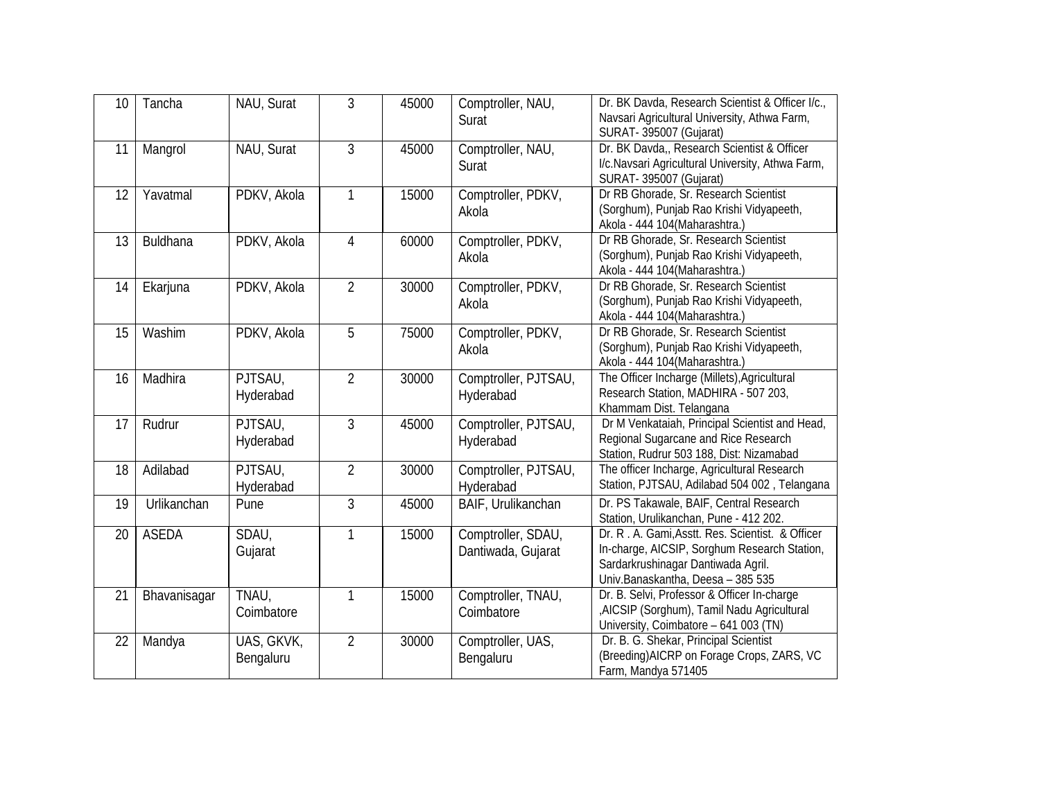| 10 | Tancha       | NAU, Surat              | 3              | 45000 | Comptroller, NAU,<br>Surat               | Dr. BK Davda, Research Scientist & Officer I/c.,<br>Navsari Agricultural University, Athwa Farm,<br>SURAT- 395007 (Gujarat)                                                 |
|----|--------------|-------------------------|----------------|-------|------------------------------------------|-----------------------------------------------------------------------------------------------------------------------------------------------------------------------------|
| 11 | Mangrol      | NAU, Surat              | 3              | 45000 | Comptroller, NAU,<br>Surat               | Dr. BK Davda,, Research Scientist & Officer<br>I/c.Navsari Agricultural University, Athwa Farm,<br>SURAT- 395007 (Gujarat)                                                  |
| 12 | Yavatmal     | PDKV, Akola             | $\mathbf{1}$   | 15000 | Comptroller, PDKV,<br>Akola              | Dr RB Ghorade, Sr. Research Scientist<br>(Sorghum), Punjab Rao Krishi Vidyapeeth,<br>Akola - 444 104 (Maharashtra.)                                                         |
| 13 | Buldhana     | PDKV, Akola             | $\overline{4}$ | 60000 | Comptroller, PDKV,<br>Akola              | Dr RB Ghorade, Sr. Research Scientist<br>(Sorghum), Punjab Rao Krishi Vidyapeeth,<br>Akola - 444 104 (Maharashtra.)                                                         |
| 14 | Ekarjuna     | PDKV, Akola             | $\overline{2}$ | 30000 | Comptroller, PDKV,<br>Akola              | Dr RB Ghorade, Sr. Research Scientist<br>(Sorghum), Punjab Rao Krishi Vidyapeeth,<br>Akola - 444 104 (Maharashtra.)                                                         |
| 15 | Washim       | PDKV, Akola             | 5              | 75000 | Comptroller, PDKV,<br>Akola              | Dr RB Ghorade, Sr. Research Scientist<br>(Sorghum), Punjab Rao Krishi Vidyapeeth,<br>Akola - 444 104 (Maharashtra.)                                                         |
| 16 | Madhira      | PJTSAU,<br>Hyderabad    | $\overline{2}$ | 30000 | Comptroller, PJTSAU,<br>Hyderabad        | The Officer Incharge (Millets), Agricultural<br>Research Station, MADHIRA - 507 203,<br>Khammam Dist. Telangana                                                             |
| 17 | Rudrur       | PJTSAU,<br>Hyderabad    | 3              | 45000 | Comptroller, PJTSAU,<br>Hyderabad        | Dr M Venkataiah, Principal Scientist and Head,<br>Regional Sugarcane and Rice Research<br>Station, Rudrur 503 188, Dist: Nizamabad                                          |
| 18 | Adilabad     | PJTSAU,<br>Hyderabad    | $\overline{2}$ | 30000 | Comptroller, PJTSAU,<br>Hyderabad        | The officer Incharge, Agricultural Research<br>Station, PJTSAU, Adilabad 504 002, Telangana                                                                                 |
| 19 | Urlikanchan  | Pune                    | 3              | 45000 | BAIF, Urulikanchan                       | Dr. PS Takawale, BAIF, Central Research<br>Station, Urulikanchan, Pune - 412 202.                                                                                           |
| 20 | <b>ASEDA</b> | SDAU,<br>Gujarat        | 1              | 15000 | Comptroller, SDAU,<br>Dantiwada, Gujarat | Dr. R. A. Gami, Asstt. Res. Scientist. & Officer<br>In-charge, AICSIP, Sorghum Research Station,<br>Sardarkrushinagar Dantiwada Agril.<br>Univ.Banaskantha, Deesa - 385 535 |
| 21 | Bhavanisagar | TNAU,<br>Coimbatore     | $\mathbf{1}$   | 15000 | Comptroller, TNAU,<br>Coimbatore         | Dr. B. Selvi, Professor & Officer In-charge<br>, AICSIP (Sorghum), Tamil Nadu Agricultural<br>University, Coimbatore - 641 003 (TN)                                         |
| 22 | Mandya       | UAS, GKVK,<br>Bengaluru | $\overline{2}$ | 30000 | Comptroller, UAS,<br>Bengaluru           | Dr. B. G. Shekar, Principal Scientist<br>(Breeding) AICRP on Forage Crops, ZARS, VC<br>Farm, Mandya 571405                                                                  |